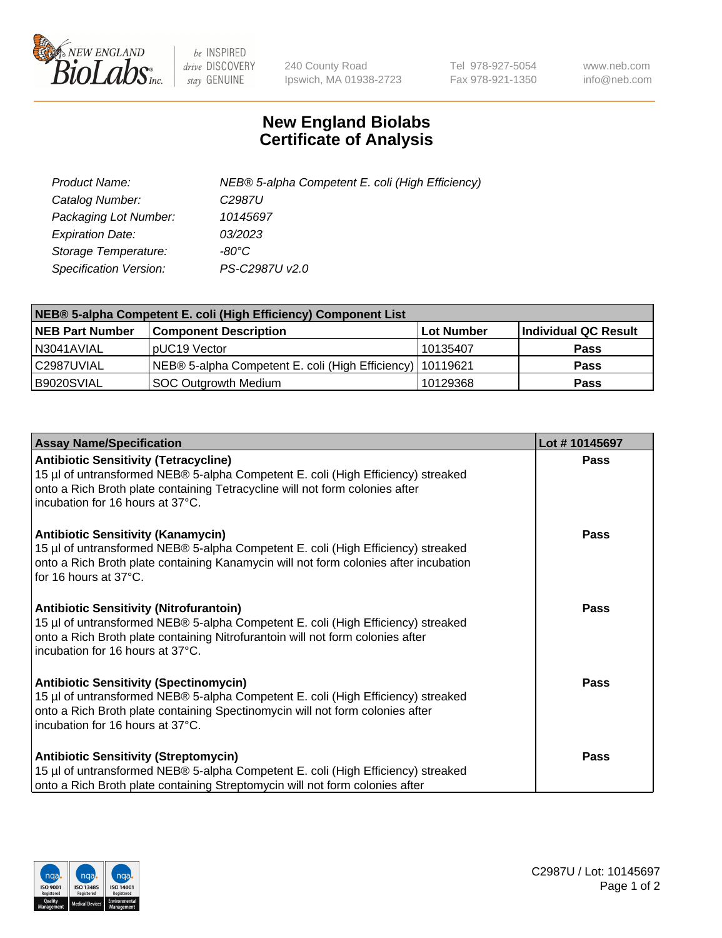

 $be$  INSPIRED drive DISCOVERY stay GENUINE

240 County Road Ipswich, MA 01938-2723 Tel 978-927-5054 Fax 978-921-1350 www.neb.com info@neb.com

## **New England Biolabs Certificate of Analysis**

| Product Name:           | NEB® 5-alpha Competent E. coli (High Efficiency) |
|-------------------------|--------------------------------------------------|
| Catalog Number:         | C <sub>2987</sub> U                              |
| Packaging Lot Number:   | 10145697                                         |
| <b>Expiration Date:</b> | 03/2023                                          |
| Storage Temperature:    | -80°C                                            |
| Specification Version:  | PS-C2987U v2.0                                   |

| NEB® 5-alpha Competent E. coli (High Efficiency) Component List |                                                             |            |                      |  |
|-----------------------------------------------------------------|-------------------------------------------------------------|------------|----------------------|--|
| <b>NEB Part Number</b>                                          | <b>Component Description</b>                                | Lot Number | Individual QC Result |  |
| N3041AVIAL                                                      | pUC19 Vector                                                | 10135407   | <b>Pass</b>          |  |
| C2987UVIAL                                                      | NEB® 5-alpha Competent E. coli (High Efficiency)   10119621 |            | <b>Pass</b>          |  |
| B9020SVIAL                                                      | SOC Outgrowth Medium                                        | 10129368   | <b>Pass</b>          |  |

| <b>Assay Name/Specification</b>                                                                                                                                                                                                                          | Lot #10145697 |
|----------------------------------------------------------------------------------------------------------------------------------------------------------------------------------------------------------------------------------------------------------|---------------|
| <b>Antibiotic Sensitivity (Tetracycline)</b><br>15 µl of untransformed NEB® 5-alpha Competent E. coli (High Efficiency) streaked<br>onto a Rich Broth plate containing Tetracycline will not form colonies after<br>incubation for 16 hours at 37°C.     | <b>Pass</b>   |
| <b>Antibiotic Sensitivity (Kanamycin)</b><br>15 µl of untransformed NEB® 5-alpha Competent E. coli (High Efficiency) streaked<br>onto a Rich Broth plate containing Kanamycin will not form colonies after incubation<br>for 16 hours at 37°C.           | Pass          |
| <b>Antibiotic Sensitivity (Nitrofurantoin)</b><br>15 µl of untransformed NEB® 5-alpha Competent E. coli (High Efficiency) streaked<br>onto a Rich Broth plate containing Nitrofurantoin will not form colonies after<br>incubation for 16 hours at 37°C. | Pass          |
| <b>Antibiotic Sensitivity (Spectinomycin)</b><br>15 µl of untransformed NEB® 5-alpha Competent E. coli (High Efficiency) streaked<br>onto a Rich Broth plate containing Spectinomycin will not form colonies after<br>incubation for 16 hours at 37°C.   | <b>Pass</b>   |
| <b>Antibiotic Sensitivity (Streptomycin)</b><br>15 µl of untransformed NEB® 5-alpha Competent E. coli (High Efficiency) streaked<br>onto a Rich Broth plate containing Streptomycin will not form colonies after                                         | Pass          |